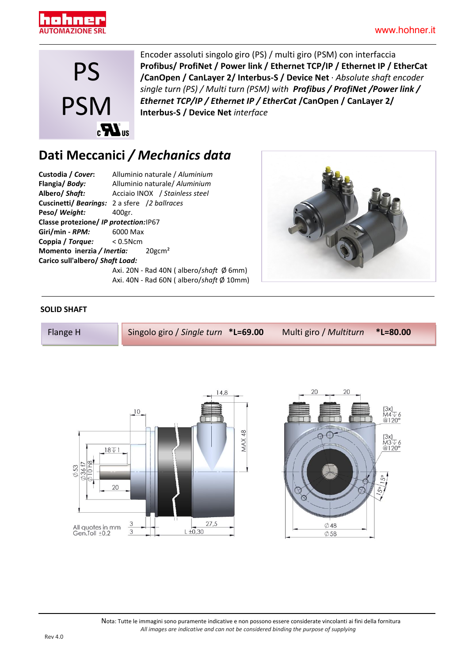



Encoder assoluti singolo giro (PS) / multi giro (PSM) con interfaccia **Profibus/ ProfiNet / Power link / Ethernet TCP/IP / Ethernet IP / EtherCat /CanOpen / CanLayer 2/ Interbus-S / Device Net** · *Absolute shaft encoder single turn (PS) / Multi turn (PSM) with Profibus / ProfiNet /Power link / Ethernet TCP/IP / Ethernet IP / EtherCat* **/CanOpen / CanLayer 2/ Interbus-S / Device Net** *interface*

## **Dati Meccanici** */ Mechanics data*

| Custodia / Cover:                                    | Alluminio naturale / Aluminium                      |  |  |  |
|------------------------------------------------------|-----------------------------------------------------|--|--|--|
| Flangia/Body:                                        | Alluminio naturale/ Aluminium                       |  |  |  |
| Albero/ <i>Shaft:</i>                                | Acciaio INOX / Stainless steel                      |  |  |  |
|                                                      | <b>Cuscinetti/ Bearings:</b> 2 a sfere /2 ballraces |  |  |  |
| Peso/ Weight:                                        | 400gr.                                              |  |  |  |
| Classe protezione/ IP protection: IP67               |                                                     |  |  |  |
| <b>Giri/min - RPM:</b> 6000 Max                      |                                                     |  |  |  |
| <b>Coppia / Torque:</b> < 0.5Ncm                     |                                                     |  |  |  |
| <b>Momento inerzia / Inertia:</b> 20gcm <sup>2</sup> |                                                     |  |  |  |
| Carico sull'albero/ Shaft Load:                      |                                                     |  |  |  |
|                                                      | Axi. 20N - Rad 40N (albero/shaft $\emptyset$ 6mm)   |  |  |  |
|                                                      | Axi. 40N - Rad 60N (albero/shaft $\emptyset$ 10mm)  |  |  |  |



#### **SOLID SHAFT**





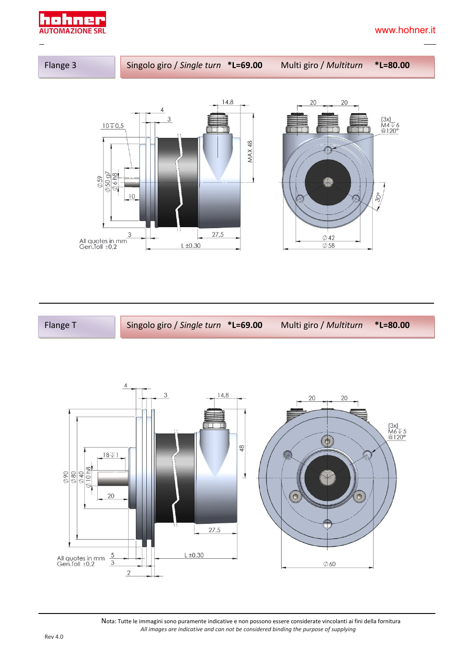



Flange T Singolo giro / *Single turn* **\*L=69.00** Multi giro / *Multiturn* **\*L=80.00**



 Nota: Tutte le immagini sono puramente indicative e non possono essere considerate vincolanti ai fini della fornitura *All images are indicative and can not be considered binding the purpose of supplying*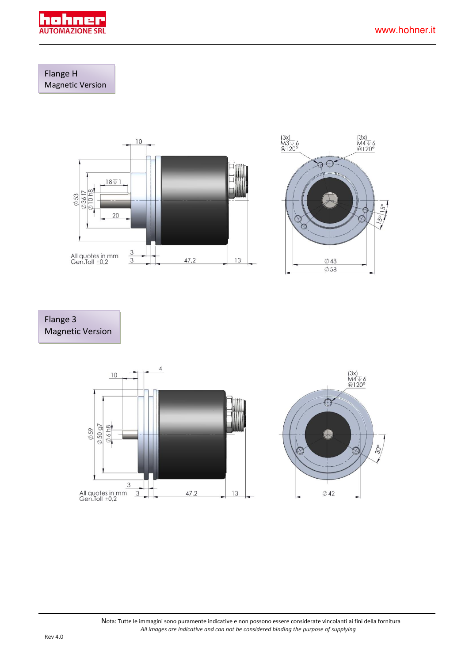

#### Flange H Magnetic Version



#### Flange 3 Magnetic Version

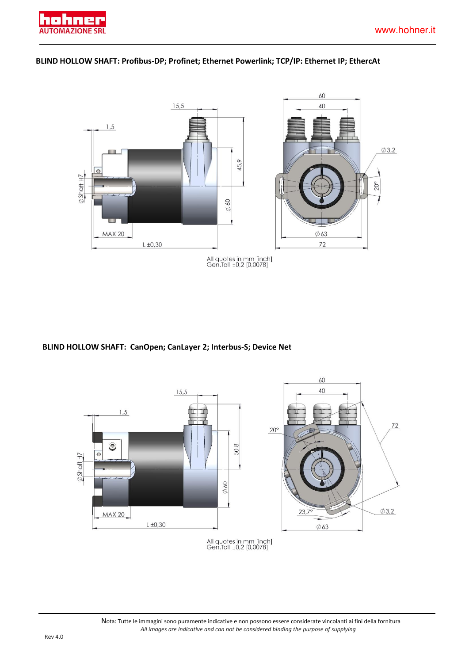





**BLIND HOLLOW SHAFT: CanOpen; CanLayer 2; Interbus-S; Device Net**

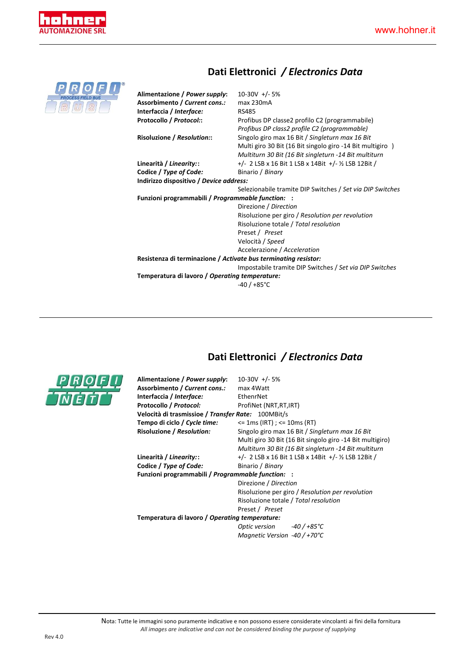

## **Dati Elettronici** */ Electronics Data*

| <b>PROCESS FIELD BUS</b> |
|--------------------------|
|                          |

| Alimentazione / Power supply:<br>Assorbimento / Current cons.:<br>Interfaccia / Interface:<br>Protocollo / Protocol:: | $10-30V$ +/-5%<br>$max$ 230 $mA$<br><b>RS485</b><br>Profibus DP classe2 profilo C2 (programmabile)<br>Profibus DP class2 profile C2 (programmable)                    |  |  |  |
|-----------------------------------------------------------------------------------------------------------------------|-----------------------------------------------------------------------------------------------------------------------------------------------------------------------|--|--|--|
| Risoluzione / Resolution::                                                                                            | Singolo giro max 16 Bit / Singleturn max 16 Bit<br>Multi giro 30 Bit (16 Bit singolo giro -14 Bit multigiro)<br>Multiturn 30 Bit (16 Bit singleturn -14 Bit multiturn |  |  |  |
| Linearità / Linearity::                                                                                               | $+/- 2$ LSB x 16 Bit 1 LSB x 14Bit $+/-$ ½ LSB 12Bit /                                                                                                                |  |  |  |
| Codice / Type of Code:                                                                                                | Binario / Binary                                                                                                                                                      |  |  |  |
| Indirizzo dispositivo / Device address:                                                                               |                                                                                                                                                                       |  |  |  |
|                                                                                                                       | Selezionabile tramite DIP Switches / Set via DIP Switches                                                                                                             |  |  |  |
| Funzioni programmabili / Programmable function:                                                                       |                                                                                                                                                                       |  |  |  |
|                                                                                                                       | Direzione / Direction                                                                                                                                                 |  |  |  |
|                                                                                                                       | Risoluzione per giro / Resolution per revolution                                                                                                                      |  |  |  |
|                                                                                                                       | Risoluzione totale / Total resolution                                                                                                                                 |  |  |  |
|                                                                                                                       | Preset / Preset                                                                                                                                                       |  |  |  |
|                                                                                                                       | Velocità / Speed                                                                                                                                                      |  |  |  |
|                                                                                                                       | Accelerazione / Acceleration                                                                                                                                          |  |  |  |
| Resistenza di terminazione / Activate bus terminating resistor:                                                       |                                                                                                                                                                       |  |  |  |
|                                                                                                                       | Impostabile tramite DIP Switches / Set via DIP Switches                                                                                                               |  |  |  |
| Temperatura di lavoro / Operating temperature:                                                                        |                                                                                                                                                                       |  |  |  |
|                                                                                                                       | $-40/+85^{\circ}$ C                                                                                                                                                   |  |  |  |
|                                                                                                                       |                                                                                                                                                                       |  |  |  |



### **Dati Elettronici** */ Electronics Data*

| Alimentazione / Power supply:                      | $10-30V$ +/-5%                                            |  |  |  |
|----------------------------------------------------|-----------------------------------------------------------|--|--|--|
| Assorbimento / Current cons.:                      | max 4 Watt                                                |  |  |  |
| Interfaccia / Interface:                           | EthenrNet                                                 |  |  |  |
| Protocollo / Protocol:                             | ProfiNet (NRT, RT, IRT)                                   |  |  |  |
| Velocità di trasmissioe / Transfer Rate: 100MBit/s |                                                           |  |  |  |
| Tempo di ciclo / Cycle time:                       | $\le$ 1 ms (IRT) ; $\le$ 10 ms (RT)                       |  |  |  |
| Risoluzione / Resolution:                          | Singolo giro max 16 Bit / Singleturn max 16 Bit           |  |  |  |
|                                                    | Multi giro 30 Bit (16 Bit singolo giro -14 Bit multigiro) |  |  |  |
|                                                    | Multiturn 30 Bit (16 Bit singleturn -14 Bit multiturn     |  |  |  |
| Linearità / Linearity::                            | $+/- 2$ LSB x 16 Bit 1 LSB x 14Bit $+/-$ ½ LSB 12Bit /    |  |  |  |
| Codice / Type of Code:                             | Binario / Binary                                          |  |  |  |
| Funzioni programmabili / Programmable function: :  |                                                           |  |  |  |
|                                                    | Direzione / Direction                                     |  |  |  |
|                                                    | Risoluzione per giro / Resolution per revolution          |  |  |  |
|                                                    | Risoluzione totale / Total resolution                     |  |  |  |
|                                                    | Preset / Preset                                           |  |  |  |
| Temperatura di lavoro / Operating temperature:     |                                                           |  |  |  |
|                                                    | Optic version $-40/+85^{\circ}$ C                         |  |  |  |
|                                                    | Magnetic Version -40 / +70°C                              |  |  |  |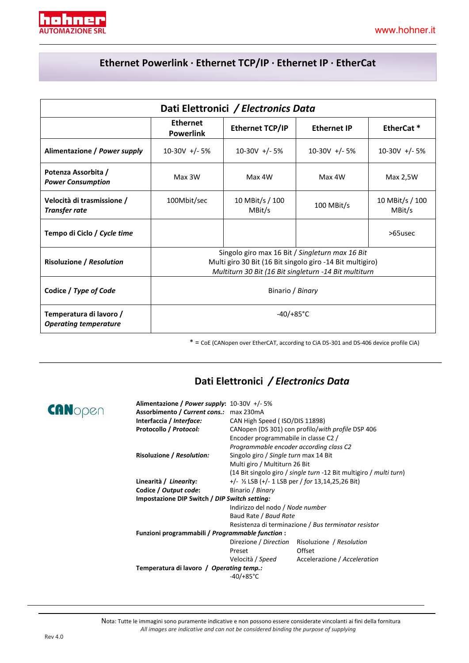

### **Ethernet Powerlink · Ethernet TCP/IP · Ethernet IP · EtherCat**

| Dati Elettronici / Electronics Data                     |                                     |                                                                                                                                                                       |                    |                           |  |
|---------------------------------------------------------|-------------------------------------|-----------------------------------------------------------------------------------------------------------------------------------------------------------------------|--------------------|---------------------------|--|
|                                                         | <b>Ethernet</b><br><b>Powerlink</b> | <b>Ethernet TCP/IP</b>                                                                                                                                                | <b>Ethernet IP</b> | EtherCat <sup>*</sup>     |  |
| Alimentazione / Power supply                            | $10-30V$ +/-5%                      | $10-30V$ +/-5%                                                                                                                                                        | $10-30V +/-5%$     | $10-30V +/- 5%$           |  |
| Potenza Assorbita /<br><b>Power Consumption</b>         | Max 3W                              | Max 4W                                                                                                                                                                | Max 4W             | Max 2,5W                  |  |
| Velocità di trasmissione /<br><b>Transfer rate</b>      | 100Mbit/sec                         | 10 MBit/s / 100<br>MBit/s                                                                                                                                             | 100 MBit/s         | 10 MBit/s / 100<br>MBit/s |  |
| Tempo di Ciclo / Cycle time                             |                                     |                                                                                                                                                                       |                    | >65usec                   |  |
| <b>Risoluzione / Resolution</b>                         |                                     | Singolo giro max 16 Bit / Singleturn max 16 Bit<br>Multi giro 30 Bit (16 Bit singolo giro -14 Bit multigiro)<br>Multiturn 30 Bit (16 Bit singleturn -14 Bit multiturn |                    |                           |  |
| Codice / Type of Code                                   | Binario / Binary                    |                                                                                                                                                                       |                    |                           |  |
| Temperatura di lavoro /<br><b>Operating temperature</b> | $-40/+85°C$                         |                                                                                                                                                                       |                    |                           |  |

 $* =$  CoE (CANopen over EtherCAT, according to CiA DS-301 and DS-406 device profile CiA)

### **Dati Elettronici** */ Electronics Data*

| Alimentazione / Power supply: $10-30V + (-5%)$   |                                                                    |                                                   |  |  |
|--------------------------------------------------|--------------------------------------------------------------------|---------------------------------------------------|--|--|
| Assorbimento / Current cons.: max 230mA          |                                                                    |                                                   |  |  |
| Interfaccia / Interface:                         | CAN High Speed (ISO/DIS 11898)                                     |                                                   |  |  |
| Protocollo / Protocol:                           |                                                                    | CANopen (DS 301) con profilo/with profile DSP 406 |  |  |
|                                                  | Encoder programmabile in classe C2 /                               |                                                   |  |  |
|                                                  | Programmable encoder according class C2                            |                                                   |  |  |
| Risoluzione / Resolution:                        | Singolo giro / Single turn max 14 Bit                              |                                                   |  |  |
|                                                  | Multi giro / Multiturn 26 Bit                                      |                                                   |  |  |
|                                                  | (14 Bit singolo giro / single turn -12 Bit multigiro / multi turn) |                                                   |  |  |
| Linearità / Linearity:                           | $+/-$ 1/ <sub>2</sub> LSB ( $+/-$ 1 LSB per / for 13,14,25,26 Bit) |                                                   |  |  |
| Codice / Output code:                            | Binario / Binary                                                   |                                                   |  |  |
| Impostazione DIP Switch / DIP Switch setting:    |                                                                    |                                                   |  |  |
|                                                  | Indirizzo del nodo / Node number                                   |                                                   |  |  |
|                                                  | Baud Rate / Baud Rate                                              |                                                   |  |  |
|                                                  | Resistenza di terminazione / Bus terminator resistor               |                                                   |  |  |
| Funzioni programmabili / Programmable function : |                                                                    |                                                   |  |  |
|                                                  | Direzione / Direction                                              | Risoluzione / Resolution                          |  |  |
|                                                  | Preset                                                             | Offset                                            |  |  |
|                                                  |                                                                    | Velocità / Speed Accelerazione / Acceleration     |  |  |
| Temperatura di lavoro / Operating temp.:         |                                                                    |                                                   |  |  |
|                                                  | $-40/+85^{\circ}$ C                                                |                                                   |  |  |

 Nota: Tutte le immagini sono puramente indicative e non possono essere considerate vincolanti ai fini della fornitura *All images are indicative and can not be considered binding the purpose of supplying*

CANopen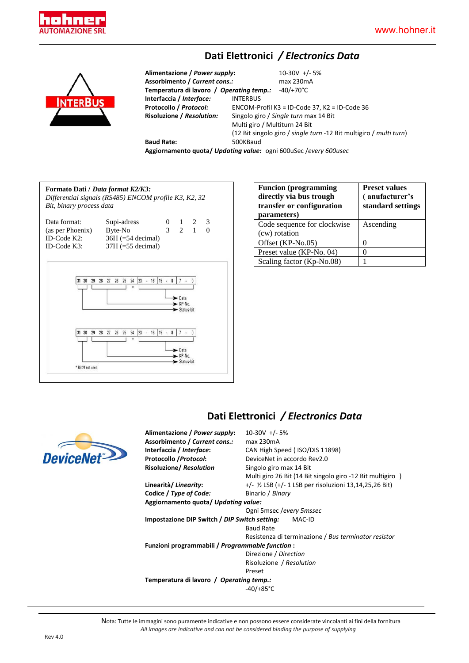

#### **Dati Elettronici** */ Electronics Data*



**Alimentazione /** *Power supply***:** 10-30V +/- 5% **Assorbimento /** *Current cons.:* max 230mA **Temperatura di lavoro /** *Operating temp.:* -40/+70°C **Interfaccia /** *Interface:* INTERBUS **Protocollo / Protocol:** ENCOM-Profil K3 = ID-Code 37, K2 = ID-Code 36<br>**Risoluzione / Resolution:** Singolo giro / Single turn max 14 Bit **Risoluzione /** *Resolution:* Singolo giro / *Single turn* max 14 Bit Multi giro / Multiturn 24 Bit (12 Bit singolo giro / *single turn* -12 Bit multigiro / *multi turn*) **Baud Rate:** 500KBaud **Aggiornamento quota/** *Updating value:* ogni 600uSec /*every 600usec*

**Formato Dati /** *Data format K2/K3: Differential signals (RS485) ENCOM profile K3, K2, 32 Bit, binary process data* Data format: Supi-adress 0 1 2 3 (as per Phoenix) Byte-No 3 2 1 0 ID-Code K2:  $36H (=54 \text{ decimal})$ <br>ID-Code K3:  $37H (=55 \text{ decimal})$  $37H$  (=55 decimal) 31 30 29 28 27 26 25 24 23 - 16 15 - 8 7  $\overline{0}$  $\blacktriangleright$  Data  $\blacktriangleright$  KP-No Status-bit  $\blacktriangleright$  Data  $\blacktriangleright$  KP-No Status-hit \* Bit 24 not used

| <b>Funcion</b> (programming<br>directly via bus trough<br>transfer or configuration<br>parameters) | <b>Preset values</b><br>(anufacturer's<br>standard settings |  |  |
|----------------------------------------------------------------------------------------------------|-------------------------------------------------------------|--|--|
| Code sequence for clockwise                                                                        | Ascending                                                   |  |  |
| (cw) rotation                                                                                      |                                                             |  |  |
| Offset (KP-No.05)                                                                                  |                                                             |  |  |
| Preset value (KP-No. 04)                                                                           | $\mathbf{\Omega}$                                           |  |  |
| Scaling factor (Kp-No.08)                                                                          |                                                             |  |  |

#### **Dati Elettronici** */ Electronics Data*



 Nota: Tutte le immagini sono puramente indicative e non possono essere considerate vincolanti ai fini della fornitura *All images are indicative and can not be considered binding the purpose of supplying*

**DeviceN**